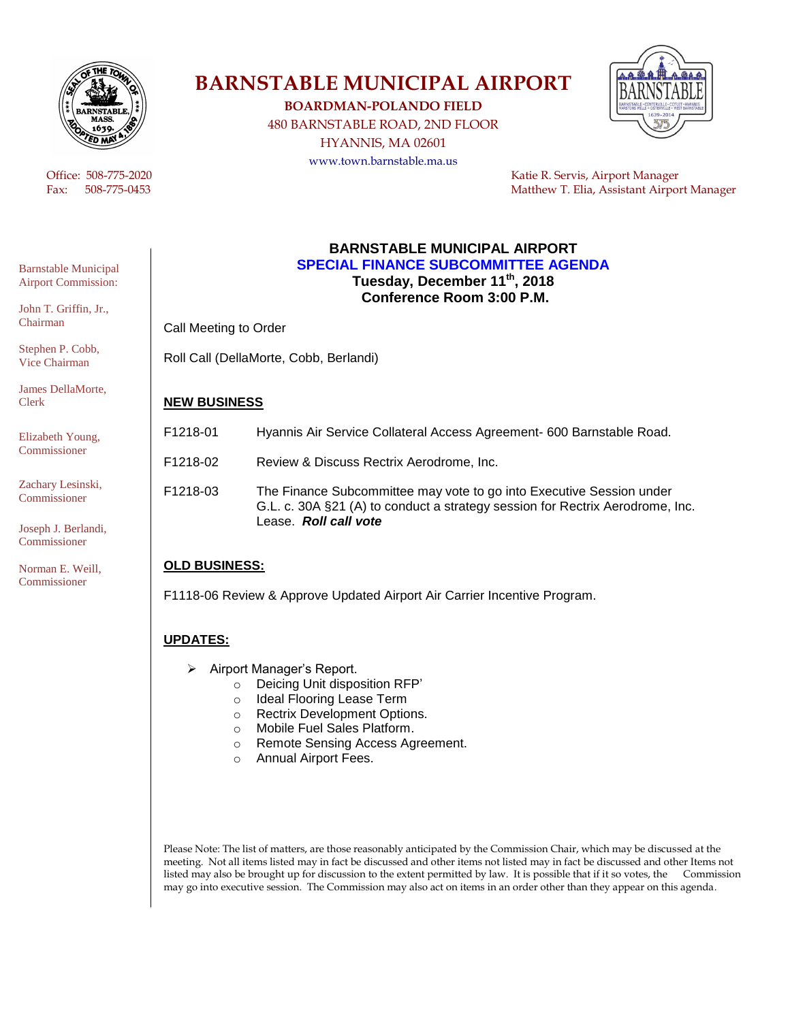

# **BARNSTABLE MUNICIPAL AIRPORT**

**BOARDMAN-POLANDO FIELD**

480 BARNSTABLE ROAD, 2ND FLOOR HYANNIS, MA 02601 www.town.barnstable.ma.us



 Office: 508-775-2020 Katie R. Servis, Airport Manager Fax: 508-775-0453 Matthew T. Elia, Assistant Airport Manager

#### **BARNSTABLE MUNICIPAL AIRPORT SPECIAL FINANCE SUBCOMMITTEE AGENDA Tuesday, December 11th , 2018 Conference Room 3:00 P.M.**

Call Meeting to Order

Roll Call (DellaMorte, Cobb, Berlandi)

### **NEW BUSINESS**

| F1218-01        | Hyannis Air Service Collateral Access Agreement- 600 Barnstable Road. |
|-----------------|-----------------------------------------------------------------------|
| F1218-02        | Review & Discuss Rectrix Aerodrome, Inc.                              |
| <b>E1210 02</b> | The Finance Subcommittee may yote to go into Executive Seccion under  |

F1218-03 The Finance Subcommittee may vote to go into Executive Session under G.L. c. 30A §21 (A) to conduct a strategy session for Rectrix Aerodrome, Inc. Lease. *Roll call vote*

## **OLD BUSINESS:**

F1118-06 Review & Approve Updated Airport Air Carrier Incentive Program.

## **UPDATES:**

- Airport Manager's Report.
	- o Deicing Unit disposition RFP'
	- o Ideal Flooring Lease Term
	- o Rectrix Development Options.
	- o Mobile Fuel Sales Platform.
	- o Remote Sensing Access Agreement.
	- o Annual Airport Fees.

Please Note: The list of matters, are those reasonably anticipated by the Commission Chair, which may be discussed at the meeting. Not all items listed may in fact be discussed and other items not listed may in fact be discussed and other Items not listed may also be brought up for discussion to the extent permitted by law. It is possible that if it so votes, the Commission may go into executive session. The Commission may also act on items in an order other than they appear on this agenda.

Barnstable Municipal Airport Commission:

John T. Griffin, Jr., Chairman

Stephen P. Cobb, Vice Chairman

James DellaMorte, Clerk

Elizabeth Young, Commissioner

Zachary Lesinski, Commissioner

Joseph J. Berlandi, Commissioner

Norman E. Weill, Commissioner